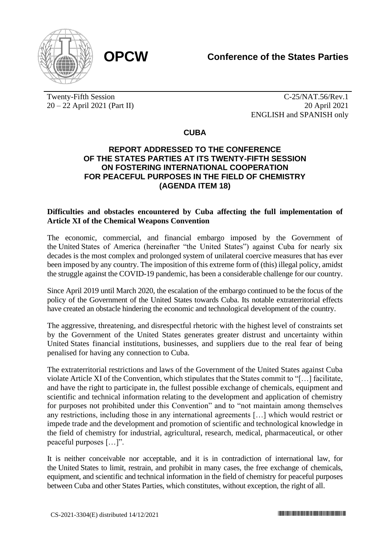

Twenty-Fifth Session 20 – 22 April 2021 (Part II)

C-25/NAT.56/Rev.1 20 April 2021 ENGLISH and SPANISH only

**CUBA**

## **REPORT ADDRESSED TO THE CONFERENCE OF THE STATES PARTIES AT ITS TWENTY-FIFTH SESSION ON FOSTERING INTERNATIONAL COOPERATION FOR PEACEFUL PURPOSES IN THE FIELD OF CHEMISTRY (AGENDA ITEM 18)**

## **Difficulties and obstacles encountered by Cuba affecting the full implementation of Article XI of the Chemical Weapons Convention**

The economic, commercial, and financial embargo imposed by the Government of the United States of America (hereinafter "the United States") against Cuba for nearly six decades is the most complex and prolonged system of unilateral coercive measures that has ever been imposed by any country. The imposition of this extreme form of (this) illegal policy, amidst the struggle against the COVID-19 pandemic, has been a considerable challenge for our country.

Since April 2019 until March 2020, the escalation of the embargo continued to be the focus of the policy of the Government of the United States towards Cuba. Its notable extraterritorial effects have created an obstacle hindering the economic and technological development of the country.

The aggressive, threatening, and disrespectful rhetoric with the highest level of constraints set by the Government of the United States generates greater distrust and uncertainty within United States financial institutions, businesses, and suppliers due to the real fear of being penalised for having any connection to Cuba.

The extraterritorial restrictions and laws of the Government of the United States against Cuba violate Article XI of the Convention, which stipulates that the States commit to "[…] facilitate, and have the right to participate in, the fullest possible exchange of chemicals, equipment and scientific and technical information relating to the development and application of chemistry for purposes not prohibited under this Convention" and to "not maintain among themselves any restrictions, including those in any international agreements […] which would restrict or impede trade and the development and promotion of scientific and technological knowledge in the field of chemistry for industrial, agricultural, research, medical, pharmaceutical, or other peaceful purposes […]".

It is neither conceivable nor acceptable, and it is in contradiction of international law, for the United States to limit, restrain, and prohibit in many cases, the free exchange of chemicals, equipment, and scientific and technical information in the field of chemistry for peaceful purposes between Cuba and other States Parties, which constitutes, without exception, the right of all.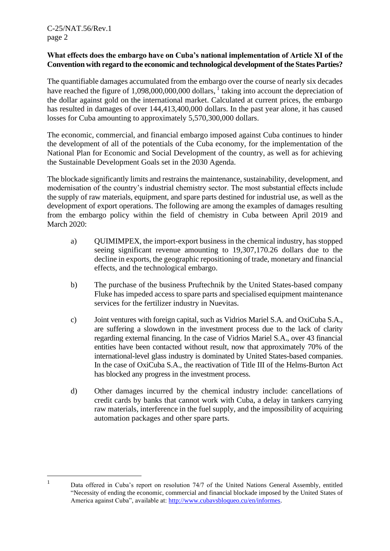1

## **What effects does the embargo have on Cuba's national implementation of Article XI of the Convention with regard to the economic and technological development of the States Parties?**

The quantifiable damages accumulated from the embargo over the course of nearly six decades have reached the figure of 1,098,000,000,000 dollars,  $1$  taking into account the depreciation of the dollar against gold on the international market. Calculated at current prices, the embargo has resulted in damages of over 144,413,400,000 dollars. In the past year alone, it has caused losses for Cuba amounting to approximately 5,570,300,000 dollars.

The economic, commercial, and financial embargo imposed against Cuba continues to hinder the development of all of the potentials of the Cuba economy, for the implementation of the National Plan for Economic and Social Development of the country, as well as for achieving the Sustainable Development Goals set in the 2030 Agenda.

The blockade significantly limits and restrains the maintenance, sustainability, development, and modernisation of the country's industrial chemistry sector. The most substantial effects include the supply of raw materials, equipment, and spare parts destined for industrial use, as well as the development of export operations. The following are among the examples of damages resulting from the embargo policy within the field of chemistry in Cuba between April 2019 and March 2020:

- a) QUIMIMPEX, the import-export business in the chemical industry, has stopped seeing significant revenue amounting to 19,307,170.26 dollars due to the decline in exports, the geographic repositioning of trade, monetary and financial effects, and the technological embargo.
- b) The purchase of the business Pruftechnik by the United States-based company Fluke has impeded access to spare parts and specialised equipment maintenance services for the fertilizer industry in Nuevitas.
- c) Joint ventures with foreign capital, such as Vidrios Mariel S.A. and OxiCuba S.A., are suffering a slowdown in the investment process due to the lack of clarity regarding external financing. In the case of Vidrios Mariel S.A., over 43 financial entities have been contacted without result, now that approximately 70% of the international-level glass industry is dominated by United States-based companies. In the case of OxiCuba S.A., the reactivation of Title III of the Helms-Burton Act has blocked any progress in the investment process.
- d) Other damages incurred by the chemical industry include: cancellations of credit cards by banks that cannot work with Cuba, a delay in tankers carrying raw materials, interference in the fuel supply, and the impossibility of acquiring automation packages and other spare parts.

Data offered in Cuba's report on resolution 74/7 of the United Nations General Assembly, entitled "Necessity of ending the economic, commercial and financial blockade imposed by the United States of America against Cuba", available at: [http://www.cubavsbloqueo.cu/en/informes.](http://www.cubavsbloqueo.cu/en/informes)